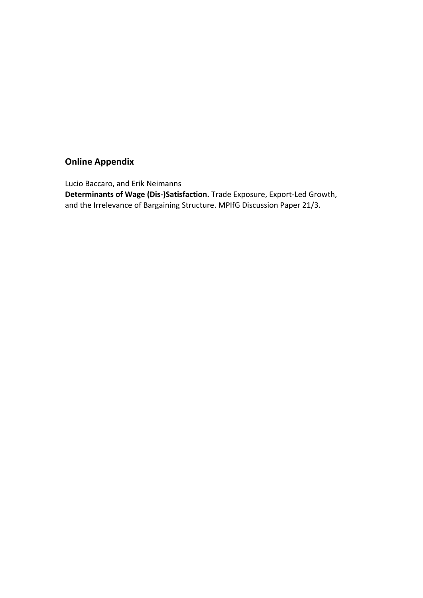# **Online Appendix**

Lucio Baccaro, and Erik Neimanns **Determinants of Wage (Dis-)Satisfaction.** Trade Exposure, Export-Led Growth, and the Irrelevance of Bargaining Structure. MPIfG Discussion Paper 21/3.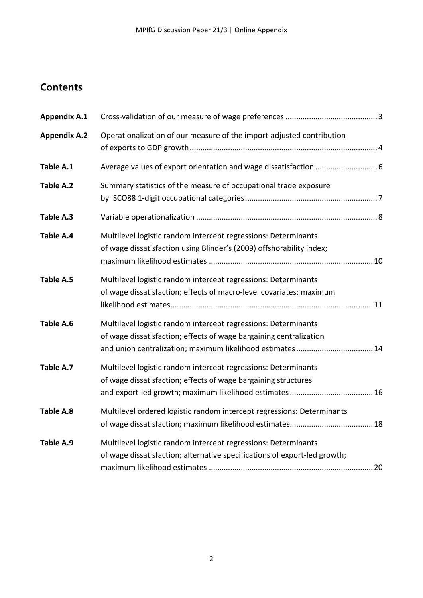# **Contents**

| <b>Appendix A.1</b> |                                                                                                                                                                                                   |  |
|---------------------|---------------------------------------------------------------------------------------------------------------------------------------------------------------------------------------------------|--|
| <b>Appendix A.2</b> | Operationalization of our measure of the import-adjusted contribution                                                                                                                             |  |
| Table A.1           |                                                                                                                                                                                                   |  |
| Table A.2           | Summary statistics of the measure of occupational trade exposure                                                                                                                                  |  |
| Table A.3           |                                                                                                                                                                                                   |  |
| Table A.4           | Multilevel logistic random intercept regressions: Determinants<br>of wage dissatisfaction using Blinder's (2009) offshorability index;                                                            |  |
| Table A.5           | Multilevel logistic random intercept regressions: Determinants<br>of wage dissatisfaction; effects of macro-level covariates; maximum                                                             |  |
| Table A.6           | Multilevel logistic random intercept regressions: Determinants<br>of wage dissatisfaction; effects of wage bargaining centralization<br>and union centralization; maximum likelihood estimates 14 |  |
| Table A.7           | Multilevel logistic random intercept regressions: Determinants<br>of wage dissatisfaction; effects of wage bargaining structures                                                                  |  |
| Table A.8           | Multilevel ordered logistic random intercept regressions: Determinants                                                                                                                            |  |
| Table A.9           | Multilevel logistic random intercept regressions: Determinants<br>of wage dissatisfaction; alternative specifications of export-led growth;                                                       |  |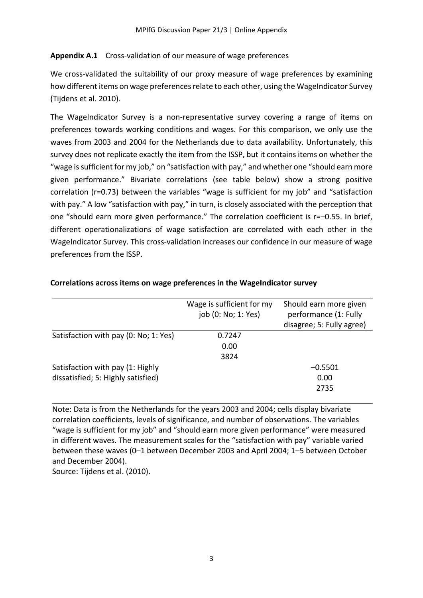### **Appendix A.1** Cross-validation of our measure of wage preferences

We cross-validated the suitability of our proxy measure of wage preferences by examining how different items on wage preferences relate to each other, using the WageIndicator Survey (Tijdens et al. 2010).

The WageIndicator Survey is a non-representative survey covering a range of items on preferences towards working conditions and wages. For this comparison, we only use the waves from 2003 and 2004 for the Netherlands due to data availability. Unfortunately, this survey does not replicate exactly the item from the ISSP, but it contains items on whether the "wage is sufficient for my job," on "satisfaction with pay," and whether one "should earn more given performance." Bivariate correlations (see table below) show a strong positive correlation (r=0.73) between the variables "wage is sufficient for my job" and "satisfaction with pay." A low "satisfaction with pay," in turn, is closely associated with the perception that one "should earn more given performance." The correlation coefficient is r=–0.55. In brief, different operationalizations of wage satisfaction are correlated with each other in the WageIndicator Survey. This cross-validation increases our confidence in our measure of wage preferences from the ISSP.

|                                       | Wage is sufficient for my<br>job (0: No; 1: Yes) | Should earn more given<br>performance (1: Fully<br>disagree; 5: Fully agree) |
|---------------------------------------|--------------------------------------------------|------------------------------------------------------------------------------|
| Satisfaction with pay (0: No; 1: Yes) | 0.7247                                           |                                                                              |
|                                       | 0.00                                             |                                                                              |
|                                       | 3824                                             |                                                                              |
| Satisfaction with pay (1: Highly      |                                                  | $-0.5501$                                                                    |
| dissatisfied; 5: Highly satisfied)    |                                                  | 0.00                                                                         |
|                                       |                                                  | 2735                                                                         |

#### **Correlations across items on wage preferences in the WageIndicator survey**

Note: Data is from the Netherlands for the years 2003 and 2004; cells display bivariate correlation coefficients, levels of significance, and number of observations. The variables "wage is sufficient for my job" and "should earn more given performance" were measured in different waves. The measurement scales for the "satisfaction with pay" variable varied between these waves (0–1 between December 2003 and April 2004; 1–5 between October and December 2004).

Source: Tijdens et al. (2010).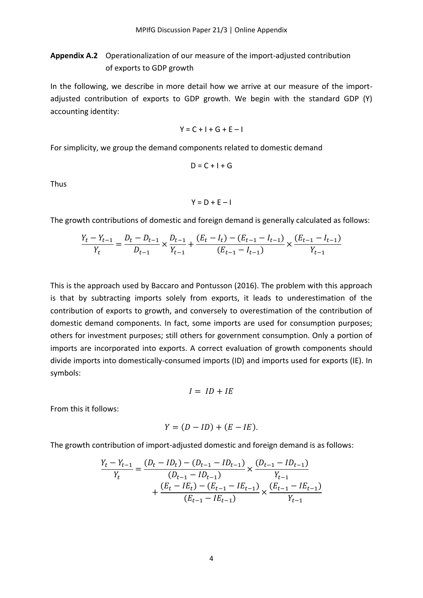### **Appendix A.2** Operationalization of our measure of the import-adjusted contribution of exports to GDP growth

In the following, we describe in more detail how we arrive at our measure of the importadjusted contribution of exports to GDP growth. We begin with the standard GDP (Y) accounting identity:

$$
Y = C + I + G + E - I
$$

For simplicity, we group the demand components related to domestic demand

$$
D = C + I + G
$$

Thus

$$
Y = D + E - I
$$

The growth contributions of domestic and foreign demand is generally calculated as follows:

$$
\frac{Y_t - Y_{t-1}}{Y_t} = \frac{D_t - D_{t-1}}{D_{t-1}} \times \frac{D_{t-1}}{Y_{t-1}} + \frac{(E_t - I_t) - (E_{t-1} - I_{t-1})}{(E_{t-1} - I_{t-1})} \times \frac{(E_{t-1} - I_{t-1})}{Y_{t-1}}
$$

This is the approach used by Baccaro and Pontusson (2016). The problem with this approach is that by subtracting imports solely from exports, it leads to underestimation of the contribution of exports to growth, and conversely to overestimation of the contribution of domestic demand components. In fact, some imports are used for consumption purposes; others for investment purposes; still others for government consumption. Only a portion of imports are incorporated into exports. A correct evaluation of growth components should divide imports into domestically-consumed imports (ID) and imports used for exports (IE). In symbols:

$$
I = ID + IE
$$

From this it follows:

$$
Y = (D - ID) + (E - IE).
$$

The growth contribution of import-adjusted domestic and foreign demand is as follows:

$$
\frac{Y_t - Y_{t-1}}{Y_t} = \frac{(D_t - ID_t) - (D_{t-1} - ID_{t-1})}{(D_{t-1} - ID_{t-1})} \times \frac{(D_{t-1} - ID_{t-1})}{Y_{t-1}}
$$

$$
+ \frac{(E_t - IE_t) - (E_{t-1} - IE_{t-1})}{(E_{t-1} - IE_{t-1})} \times \frac{(E_{t-1} - IE_{t-1})}{Y_{t-1}}
$$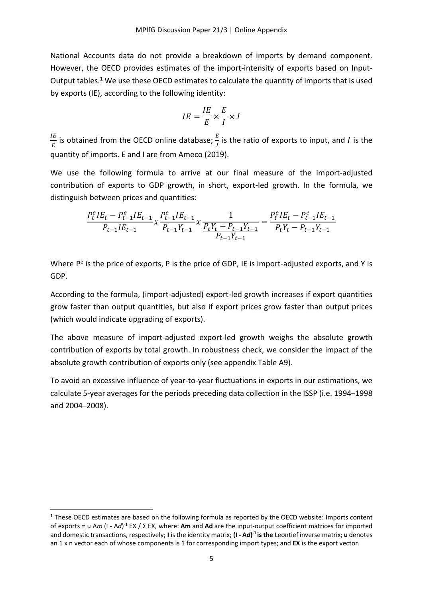National Accounts data do not provide a breakdown of imports by demand component. However, the OECD provides estimates of the import-intensity of exports based on Input-Output tables.<sup>1</sup> We use these OECD estimates to calculate the quantity of imports that is used by exports (IE), according to the following identity:

$$
IE = \frac{IE}{E} \times \frac{E}{I} \times I
$$

IE  $\frac{I E}{E}$  is obtained from the OECD online database;  $\frac{E}{I}$  is the ratio of exports to input, and  $I$  is the quantity of imports. E and I are from Ameco (2019).

We use the following formula to arrive at our final measure of the import-adjusted contribution of exports to GDP growth, in short, export-led growth. In the formula, we distinguish between prices and quantities:

$$
\frac{P_t^e I E_t - P_{t-1}^e I E_{t-1}}{P_{t-1} I E_{t-1}} x \frac{P_{t-1}^e I E_{t-1}}{P_{t-1} Y_{t-1}} x \frac{1}{\frac{P_t Y_t - P_{t-1} Y_{t-1}}{P_{t-1} Y_{t-1}}} = \frac{P_t^e I E_t - P_{t-1}^e I E_{t-1}}{P_t Y_t - P_{t-1} Y_{t-1}}
$$

Where P<sup>e</sup> is the price of exports, P is the price of GDP, IE is import-adjusted exports, and Y is GDP.

According to the formula, (import-adjusted) export-led growth increases if export quantities grow faster than output quantities, but also if export prices grow faster than output prices (which would indicate upgrading of exports).

The above measure of import-adjusted export-led growth weighs the absolute growth contribution of exports by total growth. In robustness check, we consider the impact of the absolute growth contribution of exports only (see appendix Table A9).

To avoid an excessive influence of year-to-year fluctuations in exports in our estimations, we calculate 5-year averages for the periods preceding data collection in the ISSP (i.e. 1994–1998 and 2004–2008).

<u>.</u>

 $1$  These OECD estimates are based on the following formula as reported by the OECD website: Imports content of exports = u A*m* (I - A*d*) -1 EX / Σ EX, where: **Am** and **Ad** are the input-output coefficient matrices for imported and domestic transactions, respectively; **I** is the identity matrix; **(I - A***d***) -1 is the** Leontief inverse matrix; **u** denotes an 1 x n vector each of whose components is 1 for corresponding import types; and **EX** is the export vector.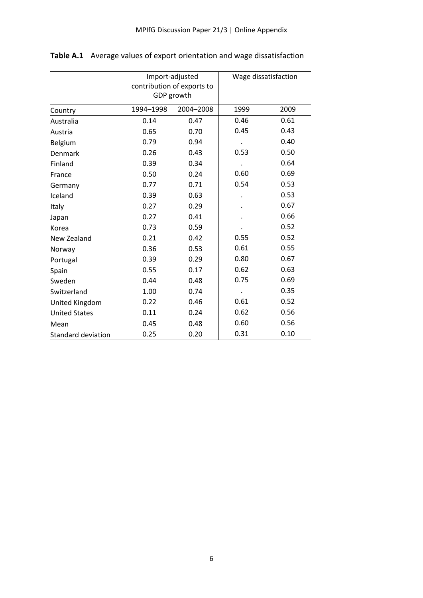|                           |           | Import-adjusted<br>contribution of exports to<br>GDP growth | Wage dissatisfaction |      |  |
|---------------------------|-----------|-------------------------------------------------------------|----------------------|------|--|
| Country                   | 1994-1998 | 2004-2008                                                   | 1999                 | 2009 |  |
| Australia                 | 0.14      | 0.47                                                        | 0.46                 | 0.61 |  |
| Austria                   | 0.65      | 0.70                                                        | 0.45                 | 0.43 |  |
| Belgium                   | 0.79      | 0.94                                                        |                      | 0.40 |  |
| Denmark                   | 0.26      | 0.43                                                        | 0.53                 | 0.50 |  |
| Finland                   | 0.39      | 0.34                                                        |                      | 0.64 |  |
| France                    | 0.50      | 0.24                                                        | 0.60                 | 0.69 |  |
| Germany                   | 0.77      | 0.71                                                        | 0.54                 | 0.53 |  |
| Iceland                   | 0.39      | 0.63                                                        |                      | 0.53 |  |
| Italy                     | 0.27      | 0.29                                                        |                      | 0.67 |  |
| Japan                     | 0.27      | 0.41                                                        |                      | 0.66 |  |
| Korea                     | 0.73      | 0.59                                                        |                      | 0.52 |  |
| New Zealand               | 0.21      | 0.42                                                        | 0.55                 | 0.52 |  |
| Norway                    | 0.36      | 0.53                                                        | 0.61                 | 0.55 |  |
| Portugal                  | 0.39      | 0.29                                                        | 0.80                 | 0.67 |  |
| Spain                     | 0.55      | 0.17                                                        | 0.62                 | 0.63 |  |
| Sweden                    | 0.44      | 0.48                                                        | 0.75                 | 0.69 |  |
| Switzerland               | 1.00      | 0.74                                                        |                      | 0.35 |  |
| United Kingdom            | 0.22      | 0.46                                                        | 0.61                 | 0.52 |  |
| <b>United States</b>      | 0.11      | 0.24                                                        | 0.62                 | 0.56 |  |
| Mean                      | 0.45      | 0.48                                                        | 0.60                 | 0.56 |  |
| <b>Standard deviation</b> | 0.25      | 0.20                                                        | 0.31                 | 0.10 |  |

**Table A.1** Average values of export orientation and wage dissatisfaction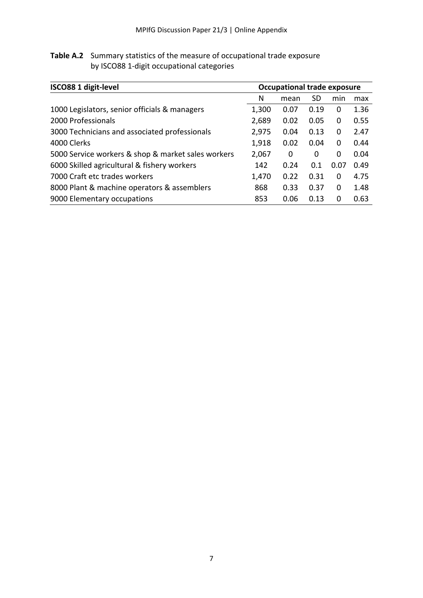| <b>Table A.2</b> Summary statistics of the measure of occupational trade exposure |
|-----------------------------------------------------------------------------------|
| by ISCO88 1-digit occupational categories                                         |

| <b>ISCO88 1 digit-level</b>                        |       | <b>Occupational trade exposure</b> |      |          |      |  |
|----------------------------------------------------|-------|------------------------------------|------|----------|------|--|
|                                                    | N     | mean                               | SD   | min      | max  |  |
| 1000 Legislators, senior officials & managers      | 1,300 | 0.07                               | 0.19 | 0        | 1.36 |  |
| 2000 Professionals                                 | 2,689 | 0.02                               | 0.05 | 0        | 0.55 |  |
| 3000 Technicians and associated professionals      | 2,975 | 0.04                               | 0.13 | 0        | 2.47 |  |
| 4000 Clerks                                        | 1,918 | 0.02                               | 0.04 | 0        | 0.44 |  |
| 5000 Service workers & shop & market sales workers | 2,067 | 0                                  | 0    | 0        | 0.04 |  |
| 6000 Skilled agricultural & fishery workers        | 142   | 0.24                               | 0.1  | 0.07     | 0.49 |  |
| 7000 Craft etc trades workers                      | 1,470 | 0.22                               | 0.31 | 0        | 4.75 |  |
| 8000 Plant & machine operators & assemblers        | 868   | 0.33                               | 0.37 | $\Omega$ | 1.48 |  |
| 9000 Elementary occupations                        | 853   | 0.06                               | 0.13 | 0        | 0.63 |  |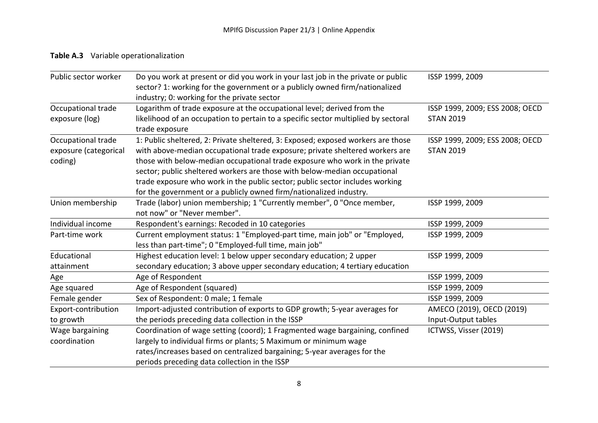# **Table A.3** Variable operationalization

| Public sector worker                                   | Do you work at present or did you work in your last job in the private or public<br>sector? 1: working for the government or a publicly owned firm/nationalized<br>industry; 0: working for the private sector                                                                                                                                                                                                                                                                     | ISSP 1999, 2009                                     |
|--------------------------------------------------------|------------------------------------------------------------------------------------------------------------------------------------------------------------------------------------------------------------------------------------------------------------------------------------------------------------------------------------------------------------------------------------------------------------------------------------------------------------------------------------|-----------------------------------------------------|
| Occupational trade<br>exposure (log)                   | Logarithm of trade exposure at the occupational level; derived from the<br>likelihood of an occupation to pertain to a specific sector multiplied by sectoral<br>trade exposure                                                                                                                                                                                                                                                                                                    | ISSP 1999, 2009; ESS 2008; OECD<br><b>STAN 2019</b> |
| Occupational trade<br>exposure (categorical<br>coding) | 1: Public sheltered, 2: Private sheltered, 3: Exposed; exposed workers are those<br>with above-median occupational trade exposure; private sheltered workers are<br>those with below-median occupational trade exposure who work in the private<br>sector; public sheltered workers are those with below-median occupational<br>trade exposure who work in the public sector; public sector includes working<br>for the government or a publicly owned firm/nationalized industry. | ISSP 1999, 2009; ESS 2008; OECD<br><b>STAN 2019</b> |
| Union membership                                       | Trade (labor) union membership; 1 "Currently member", 0 "Once member,<br>not now" or "Never member".                                                                                                                                                                                                                                                                                                                                                                               | ISSP 1999, 2009                                     |
| Individual income                                      | Respondent's earnings: Recoded in 10 categories                                                                                                                                                                                                                                                                                                                                                                                                                                    | ISSP 1999, 2009                                     |
| Part-time work                                         | Current employment status: 1 "Employed-part time, main job" or "Employed,<br>less than part-time"; 0 "Employed-full time, main job"                                                                                                                                                                                                                                                                                                                                                | ISSP 1999, 2009                                     |
| Educational<br>attainment                              | Highest education level: 1 below upper secondary education; 2 upper<br>secondary education; 3 above upper secondary education; 4 tertiary education                                                                                                                                                                                                                                                                                                                                | ISSP 1999, 2009                                     |
| Age                                                    | Age of Respondent                                                                                                                                                                                                                                                                                                                                                                                                                                                                  | ISSP 1999, 2009                                     |
| Age squared                                            | Age of Respondent (squared)                                                                                                                                                                                                                                                                                                                                                                                                                                                        | ISSP 1999, 2009                                     |
| Female gender                                          | Sex of Respondent: 0 male; 1 female                                                                                                                                                                                                                                                                                                                                                                                                                                                | ISSP 1999, 2009                                     |
| Export-contribution                                    | Import-adjusted contribution of exports to GDP growth; 5-year averages for                                                                                                                                                                                                                                                                                                                                                                                                         | AMECO (2019), OECD (2019)                           |
| to growth                                              | the periods preceding data collection in the ISSP                                                                                                                                                                                                                                                                                                                                                                                                                                  | Input-Output tables                                 |
| Wage bargaining<br>coordination                        | Coordination of wage setting (coord); 1 Fragmented wage bargaining, confined<br>largely to individual firms or plants; 5 Maximum or minimum wage<br>rates/increases based on centralized bargaining; 5-year averages for the<br>periods preceding data collection in the ISSP                                                                                                                                                                                                      | ICTWSS, Visser (2019)                               |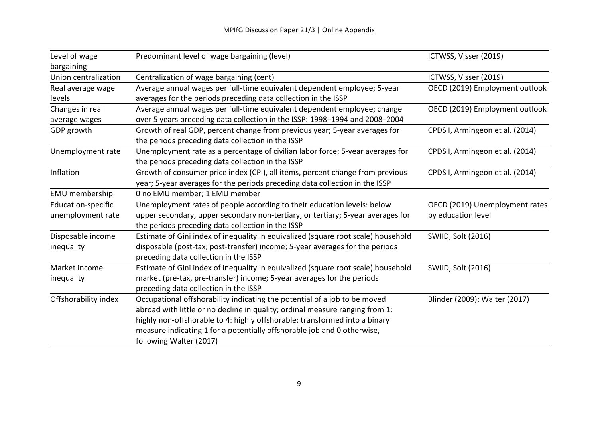| Level of wage<br>bargaining             | Predominant level of wage bargaining (level)                                                                                                                                                                                                                                                                                                  | ICTWSS, Visser (2019)                                |
|-----------------------------------------|-----------------------------------------------------------------------------------------------------------------------------------------------------------------------------------------------------------------------------------------------------------------------------------------------------------------------------------------------|------------------------------------------------------|
| Union centralization                    | Centralization of wage bargaining (cent)                                                                                                                                                                                                                                                                                                      | ICTWSS, Visser (2019)                                |
| Real average wage<br>levels             | Average annual wages per full-time equivalent dependent employee; 5-year<br>averages for the periods preceding data collection in the ISSP                                                                                                                                                                                                    | OECD (2019) Employment outlook                       |
| Changes in real<br>average wages        | Average annual wages per full-time equivalent dependent employee; change<br>over 5 years preceding data collection in the ISSP: 1998-1994 and 2008-2004                                                                                                                                                                                       | OECD (2019) Employment outlook                       |
| GDP growth                              | Growth of real GDP, percent change from previous year; 5-year averages for<br>the periods preceding data collection in the ISSP                                                                                                                                                                                                               | CPDS I, Armingeon et al. (2014)                      |
| Unemployment rate                       | Unemployment rate as a percentage of civilian labor force; 5-year averages for<br>the periods preceding data collection in the ISSP                                                                                                                                                                                                           | CPDS I, Armingeon et al. (2014)                      |
| Inflation                               | Growth of consumer price index (CPI), all items, percent change from previous<br>year; 5-year averages for the periods preceding data collection in the ISSP                                                                                                                                                                                  | CPDS I, Armingeon et al. (2014)                      |
| EMU membership                          | 0 no EMU member; 1 EMU member                                                                                                                                                                                                                                                                                                                 |                                                      |
| Education-specific<br>unemployment rate | Unemployment rates of people according to their education levels: below<br>upper secondary, upper secondary non-tertiary, or tertiary; 5-year averages for<br>the periods preceding data collection in the ISSP                                                                                                                               | OECD (2019) Unemployment rates<br>by education level |
| Disposable income<br>inequality         | Estimate of Gini index of inequality in equivalized (square root scale) household<br>disposable (post-tax, post-transfer) income; 5-year averages for the periods<br>preceding data collection in the ISSP                                                                                                                                    | <b>SWIID, Solt (2016)</b>                            |
| Market income<br>inequality             | Estimate of Gini index of inequality in equivalized (square root scale) household<br>market (pre-tax, pre-transfer) income; 5-year averages for the periods<br>preceding data collection in the ISSP                                                                                                                                          | <b>SWIID, Solt (2016)</b>                            |
| Offshorability index                    | Occupational offshorability indicating the potential of a job to be moved<br>abroad with little or no decline in quality; ordinal measure ranging from 1:<br>highly non-offshorable to 4: highly offshorable; transformed into a binary<br>measure indicating 1 for a potentially offshorable job and 0 otherwise,<br>following Walter (2017) | Blinder (2009); Walter (2017)                        |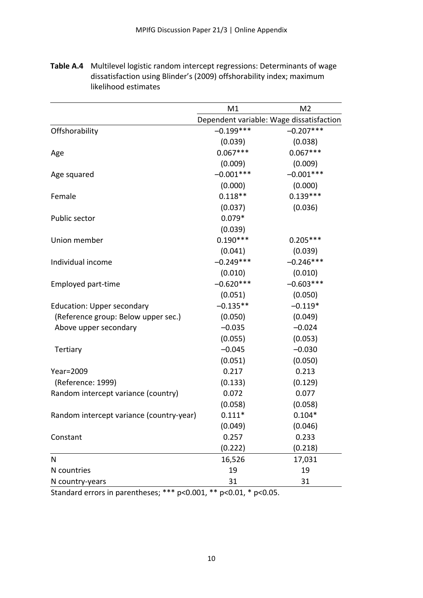|                                          | M1          | M <sub>2</sub>                           |
|------------------------------------------|-------------|------------------------------------------|
|                                          |             | Dependent variable: Wage dissatisfaction |
| Offshorability                           | $-0.199***$ | $-0.207***$                              |
|                                          | (0.039)     | (0.038)                                  |
| Age                                      | $0.067***$  | $0.067***$                               |
|                                          | (0.009)     | (0.009)                                  |
| Age squared                              | $-0.001***$ | $-0.001***$                              |
|                                          | (0.000)     | (0.000)                                  |
| Female                                   | $0.118**$   | $0.139***$                               |
|                                          | (0.037)     | (0.036)                                  |
| Public sector                            | $0.079*$    |                                          |
|                                          | (0.039)     |                                          |
| Union member                             | $0.190***$  | $0.205***$                               |
|                                          | (0.041)     | (0.039)                                  |
| Individual income                        | $-0.249***$ | $-0.246***$                              |
|                                          | (0.010)     | (0.010)                                  |
| Employed part-time                       | $-0.620***$ | $-0.603***$                              |
|                                          | (0.051)     | (0.050)                                  |
| <b>Education: Upper secondary</b>        | $-0.135**$  | $-0.119*$                                |
| (Reference group: Below upper sec.)      | (0.050)     | (0.049)                                  |
| Above upper secondary                    | $-0.035$    | $-0.024$                                 |
|                                          | (0.055)     | (0.053)                                  |
| Tertiary                                 | $-0.045$    | $-0.030$                                 |
|                                          | (0.051)     | (0.050)                                  |
| Year=2009                                | 0.217       | 0.213                                    |
| (Reference: 1999)                        | (0.133)     | (0.129)                                  |
| Random intercept variance (country)      | 0.072       | 0.077                                    |
|                                          | (0.058)     | (0.058)                                  |
| Random intercept variance (country-year) | $0.111*$    | $0.104*$                                 |
|                                          | (0.049)     | (0.046)                                  |
| Constant                                 | 0.257       | 0.233                                    |
|                                          | (0.222)     | (0.218)                                  |
| N                                        | 16,526      | 17,031                                   |
| N countries                              | 19          | 19                                       |
| N country-years                          | 31          | 31                                       |

**Table A.4** Multilevel logistic random intercept regressions: Determinants of wage dissatisfaction using Blinder's (2009) offshorability index; maximum likelihood estimates

Standard errors in parentheses; \*\*\* p<0.001, \*\* p<0.01, \* p<0.05.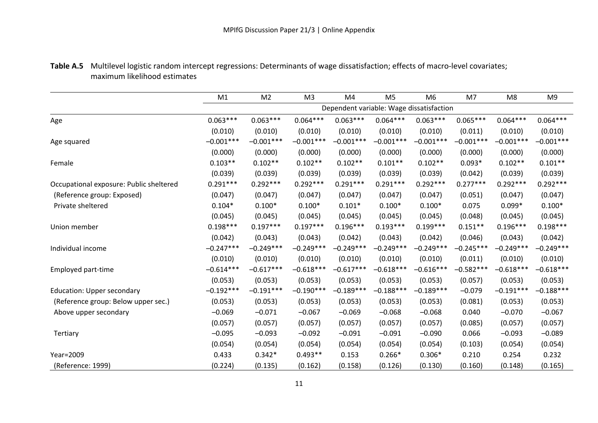## **Table A.5** Multilevel logistic random intercept regressions: Determinants of wage dissatisfaction; effects of macro-level covariates; maximum likelihood estimates

|                                         | M1          | M <sub>2</sub> | M <sub>3</sub> | M4                                       | M <sub>5</sub> | M <sub>6</sub> | M7          | M <sub>8</sub> | M <sub>9</sub> |
|-----------------------------------------|-------------|----------------|----------------|------------------------------------------|----------------|----------------|-------------|----------------|----------------|
|                                         |             |                |                | Dependent variable: Wage dissatisfaction |                |                |             |                |                |
| Age                                     | $0.063***$  | $0.063***$     | $0.064***$     | $0.063***$                               | $0.064***$     | $0.063***$     | $0.065***$  | $0.064***$     | $0.064***$     |
|                                         | (0.010)     | (0.010)        | (0.010)        | (0.010)                                  | (0.010)        | (0.010)        | (0.011)     | (0.010)        | (0.010)        |
| Age squared                             | $-0.001***$ | $-0.001***$    | $-0.001***$    | $-0.001***$                              | $-0.001***$    | $-0.001***$    | $-0.001***$ | $-0.001***$    | $-0.001***$    |
|                                         | (0.000)     | (0.000)        | (0.000)        | (0.000)                                  | (0.000)        | (0.000)        | (0.000)     | (0.000)        | (0.000)        |
| Female                                  | $0.103**$   | $0.102**$      | $0.102**$      | $0.102**$                                | $0.101**$      | $0.102**$      | $0.093*$    | $0.102**$      | $0.101**$      |
|                                         | (0.039)     | (0.039)        | (0.039)        | (0.039)                                  | (0.039)        | (0.039)        | (0.042)     | (0.039)        | (0.039)        |
| Occupational exposure: Public sheltered | $0.291***$  | $0.292***$     | $0.292***$     | $0.291***$                               | $0.291***$     | $0.292***$     | $0.277***$  | $0.292***$     | $0.292***$     |
| (Reference group: Exposed)              | (0.047)     | (0.047)        | (0.047)        | (0.047)                                  | (0.047)        | (0.047)        | (0.051)     | (0.047)        | (0.047)        |
| Private sheltered                       | $0.104*$    | $0.100*$       | $0.100*$       | $0.101*$                                 | $0.100*$       | $0.100*$       | 0.075       | $0.099*$       | $0.100*$       |
|                                         | (0.045)     | (0.045)        | (0.045)        | (0.045)                                  | (0.045)        | (0.045)        | (0.048)     | (0.045)        | (0.045)        |
| Union member                            | $0.198***$  | $0.197***$     | $0.197***$     | $0.196***$                               | $0.193***$     | $0.199***$     | $0.151**$   | $0.196***$     | $0.198***$     |
|                                         | (0.042)     | (0.043)        | (0.043)        | (0.042)                                  | (0.043)        | (0.042)        | (0.046)     | (0.043)        | (0.042)        |
| Individual income                       | $-0.247***$ | $-0.249***$    | $-0.249***$    | $-0.249***$                              | $-0.249***$    | $-0.249***$    | $-0.245***$ | $-0.249***$    | $-0.249***$    |
|                                         | (0.010)     | (0.010)        | (0.010)        | (0.010)                                  | (0.010)        | (0.010)        | (0.011)     | (0.010)        | (0.010)        |
| Employed part-time                      | $-0.614***$ | $-0.617***$    | $-0.618***$    | $-0.617***$                              | $-0.618***$    | $-0.616***$    | $-0.582***$ | $-0.618***$    | $-0.618***$    |
|                                         | (0.053)     | (0.053)        | (0.053)        | (0.053)                                  | (0.053)        | (0.053)        | (0.057)     | (0.053)        | (0.053)        |
| <b>Education: Upper secondary</b>       | $-0.192***$ | $-0.191***$    | $-0.190***$    | $-0.189***$                              | $-0.188***$    | $-0.189***$    | $-0.079$    | $-0.191***$    | $-0.188***$    |
| (Reference group: Below upper sec.)     | (0.053)     | (0.053)        | (0.053)        | (0.053)                                  | (0.053)        | (0.053)        | (0.081)     | (0.053)        | (0.053)        |
| Above upper secondary                   | $-0.069$    | $-0.071$       | $-0.067$       | $-0.069$                                 | $-0.068$       | $-0.068$       | 0.040       | $-0.070$       | $-0.067$       |
|                                         | (0.057)     | (0.057)        | (0.057)        | (0.057)                                  | (0.057)        | (0.057)        | (0.085)     | (0.057)        | (0.057)        |
| Tertiary                                | $-0.095$    | $-0.093$       | $-0.092$       | $-0.091$                                 | $-0.091$       | $-0.090$       | 0.066       | $-0.093$       | $-0.089$       |
|                                         | (0.054)     | (0.054)        | (0.054)        | (0.054)                                  | (0.054)        | (0.054)        | (0.103)     | (0.054)        | (0.054)        |
| Year=2009                               | 0.433       | $0.342*$       | $0.493**$      | 0.153                                    | $0.266*$       | $0.306*$       | 0.210       | 0.254          | 0.232          |
| (Reference: 1999)                       | (0.224)     | (0.135)        | (0.162)        | (0.158)                                  | (0.126)        | (0.130)        | (0.160)     | (0.148)        | (0.165)        |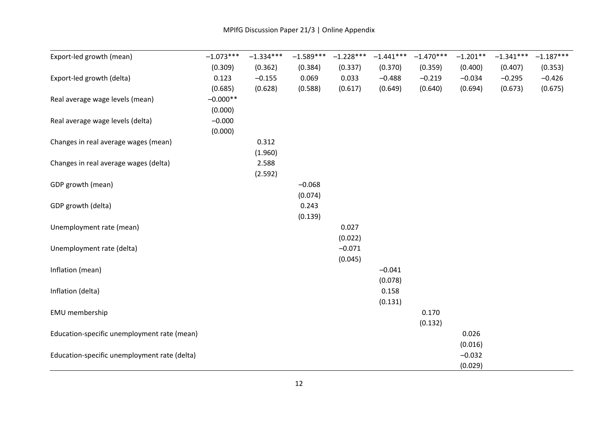| Export-led growth (mean)                     | $-1.073***$ | $-1.334***$ | $-1.589***$ | $-1.228***$ | $-1.441***$ | $-1.470***$ | $-1.201**$ | $-1.341***$ | $-1.187***$ |
|----------------------------------------------|-------------|-------------|-------------|-------------|-------------|-------------|------------|-------------|-------------|
|                                              | (0.309)     | (0.362)     | (0.384)     | (0.337)     | (0.370)     | (0.359)     | (0.400)    | (0.407)     | (0.353)     |
| Export-led growth (delta)                    | 0.123       | $-0.155$    | 0.069       | 0.033       | $-0.488$    | $-0.219$    | $-0.034$   | $-0.295$    | $-0.426$    |
|                                              | (0.685)     | (0.628)     | (0.588)     | (0.617)     | (0.649)     | (0.640)     | (0.694)    | (0.673)     | (0.675)     |
| Real average wage levels (mean)              | $-0.000**$  |             |             |             |             |             |            |             |             |
|                                              | (0.000)     |             |             |             |             |             |            |             |             |
| Real average wage levels (delta)             | $-0.000$    |             |             |             |             |             |            |             |             |
|                                              | (0.000)     |             |             |             |             |             |            |             |             |
| Changes in real average wages (mean)         |             | 0.312       |             |             |             |             |            |             |             |
|                                              |             | (1.960)     |             |             |             |             |            |             |             |
| Changes in real average wages (delta)        |             | 2.588       |             |             |             |             |            |             |             |
|                                              |             | (2.592)     |             |             |             |             |            |             |             |
| GDP growth (mean)                            |             |             | $-0.068$    |             |             |             |            |             |             |
|                                              |             |             | (0.074)     |             |             |             |            |             |             |
| GDP growth (delta)                           |             |             | 0.243       |             |             |             |            |             |             |
|                                              |             |             | (0.139)     |             |             |             |            |             |             |
| Unemployment rate (mean)                     |             |             |             | 0.027       |             |             |            |             |             |
|                                              |             |             |             | (0.022)     |             |             |            |             |             |
| Unemployment rate (delta)                    |             |             |             | $-0.071$    |             |             |            |             |             |
|                                              |             |             |             | (0.045)     |             |             |            |             |             |
| Inflation (mean)                             |             |             |             |             | $-0.041$    |             |            |             |             |
|                                              |             |             |             |             | (0.078)     |             |            |             |             |
| Inflation (delta)                            |             |             |             |             | 0.158       |             |            |             |             |
|                                              |             |             |             |             | (0.131)     |             |            |             |             |
| EMU membership                               |             |             |             |             |             | 0.170       |            |             |             |
|                                              |             |             |             |             |             | (0.132)     |            |             |             |
| Education-specific unemployment rate (mean)  |             |             |             |             |             |             | 0.026      |             |             |
|                                              |             |             |             |             |             |             | (0.016)    |             |             |
| Education-specific unemployment rate (delta) |             |             |             |             |             |             | $-0.032$   |             |             |
|                                              |             |             |             |             |             |             | (0.029)    |             |             |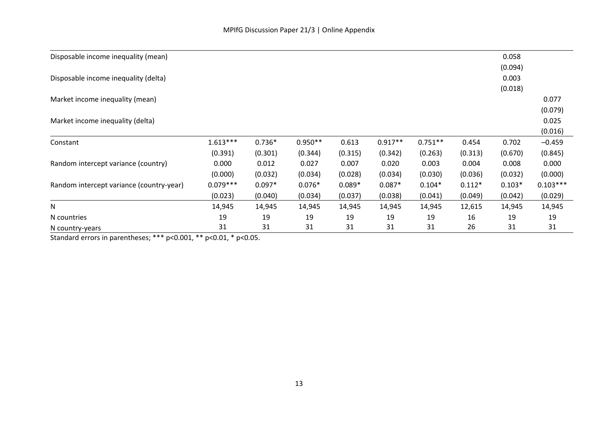| Disposable income inequality (mean)      |            |          |           |          |           |           |          | 0.058    |            |
|------------------------------------------|------------|----------|-----------|----------|-----------|-----------|----------|----------|------------|
|                                          |            |          |           |          |           |           |          | (0.094)  |            |
| Disposable income inequality (delta)     |            |          |           |          |           |           |          | 0.003    |            |
|                                          |            |          |           |          |           |           |          | (0.018)  |            |
| Market income inequality (mean)          |            |          |           |          |           |           |          |          | 0.077      |
|                                          |            |          |           |          |           |           |          |          | (0.079)    |
| Market income inequality (delta)         |            |          |           |          |           |           |          |          | 0.025      |
|                                          |            |          |           |          |           |           |          |          | (0.016)    |
| Constant                                 | $1.613***$ | $0.736*$ | $0.950**$ | 0.613    | $0.917**$ | $0.751**$ | 0.454    | 0.702    | $-0.459$   |
|                                          | (0.391)    | (0.301)  | (0.344)   | (0.315)  | (0.342)   | (0.263)   | (0.313)  | (0.670)  | (0.845)    |
| Random intercept variance (country)      | 0.000      | 0.012    | 0.027     | 0.007    | 0.020     | 0.003     | 0.004    | 0.008    | 0.000      |
|                                          | (0.000)    | (0.032)  | (0.034)   | (0.028)  | (0.034)   | (0.030)   | (0.036)  | (0.032)  | (0.000)    |
| Random intercept variance (country-year) | $0.079***$ | $0.097*$ | $0.076*$  | $0.089*$ | $0.087*$  | $0.104*$  | $0.112*$ | $0.103*$ | $0.103***$ |
|                                          | (0.023)    | (0.040)  | (0.034)   | (0.037)  | (0.038)   | (0.041)   | (0.049)  | (0.042)  | (0.029)    |
| N                                        | 14,945     | 14,945   | 14,945    | 14,945   | 14,945    | 14,945    | 12,615   | 14,945   | 14,945     |
| N countries                              | 19         | 19       | 19        | 19       | 19        | 19        | 16       | 19       | 19         |
| N country-years                          | 31         | 31       | 31        | 31       | 31        | 31        | 26       | 31       | 31         |

Standard errors in parentheses; \*\*\* p<0.001, \*\* p<0.01, \* p<0.05.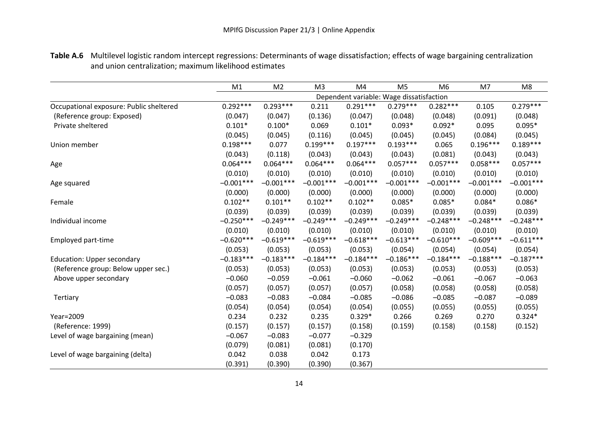|                                         | M1          | M <sub>2</sub> | M <sub>3</sub> | M4                                       | M <sub>5</sub> | M <sub>6</sub> | M7          | M <sub>8</sub> |
|-----------------------------------------|-------------|----------------|----------------|------------------------------------------|----------------|----------------|-------------|----------------|
|                                         |             |                |                | Dependent variable: Wage dissatisfaction |                |                |             |                |
| Occupational exposure: Public sheltered | $0.292***$  | $0.293***$     | 0.211          | $0.291***$                               | $0.279***$     | $0.282***$     | 0.105       | $0.279***$     |
| (Reference group: Exposed)              | (0.047)     | (0.047)        | (0.136)        | (0.047)                                  | (0.048)        | (0.048)        | (0.091)     | (0.048)        |
| Private sheltered                       | $0.101*$    | $0.100*$       | 0.069          | $0.101*$                                 | $0.093*$       | $0.092*$       | 0.095       | $0.095*$       |
|                                         | (0.045)     | (0.045)        | (0.116)        | (0.045)                                  | (0.045)        | (0.045)        | (0.084)     | (0.045)        |
| Union member                            | $0.198***$  | 0.077          | $0.199***$     | $0.197***$                               | $0.193***$     | 0.065          | $0.196***$  | $0.189***$     |
|                                         | (0.043)     | (0.118)        | (0.043)        | (0.043)                                  | (0.043)        | (0.081)        | (0.043)     | (0.043)        |
| Age                                     | $0.064***$  | $0.064***$     | $0.064***$     | $0.064***$                               | $0.057***$     | $0.057***$     | $0.058***$  | $0.057***$     |
|                                         | (0.010)     | (0.010)        | (0.010)        | (0.010)                                  | (0.010)        | (0.010)        | (0.010)     | (0.010)        |
| Age squared                             | $-0.001***$ | $-0.001***$    | $-0.001***$    | $-0.001***$                              | $-0.001***$    | $-0.001***$    | $-0.001***$ | $-0.001***$    |
|                                         | (0.000)     | (0.000)        | (0.000)        | (0.000)                                  | (0.000)        | (0.000)        | (0.000)     | (0.000)        |
| Female                                  | $0.102**$   | $0.101**$      | $0.102**$      | $0.102**$                                | $0.085*$       | $0.085*$       | $0.084*$    | $0.086*$       |
|                                         | (0.039)     | (0.039)        | (0.039)        | (0.039)                                  | (0.039)        | (0.039)        | (0.039)     | (0.039)        |
| Individual income                       | $-0.250***$ | $-0.249***$    | $-0.249***$    | $-0.249***$                              | $-0.249***$    | $-0.248***$    | $-0.248***$ | $-0.248***$    |
|                                         | (0.010)     | (0.010)        | (0.010)        | (0.010)                                  | (0.010)        | (0.010)        | (0.010)     | (0.010)        |
| Employed part-time                      | $-0.620***$ | $-0.619***$    | $-0.619***$    | $-0.618***$                              | $-0.613***$    | $-0.610***$    | $-0.609***$ | $-0.611***$    |
|                                         | (0.053)     | (0.053)        | (0.053)        | (0.053)                                  | (0.054)        | (0.054)        | (0.054)     | (0.054)        |
| Education: Upper secondary              | $-0.183***$ | $-0.183***$    | $-0.184***$    | $-0.184***$                              | $-0.186***$    | $-0.184***$    | $-0.188***$ | $-0.187***$    |
| (Reference group: Below upper sec.)     | (0.053)     | (0.053)        | (0.053)        | (0.053)                                  | (0.053)        | (0.053)        | (0.053)     | (0.053)        |
| Above upper secondary                   | $-0.060$    | $-0.059$       | $-0.061$       | $-0.060$                                 | $-0.062$       | $-0.061$       | $-0.067$    | $-0.063$       |
|                                         | (0.057)     | (0.057)        | (0.057)        | (0.057)                                  | (0.058)        | (0.058)        | (0.058)     | (0.058)        |
| Tertiary                                | $-0.083$    | $-0.083$       | $-0.084$       | $-0.085$                                 | $-0.086$       | $-0.085$       | $-0.087$    | $-0.089$       |
|                                         | (0.054)     | (0.054)        | (0.054)        | (0.054)                                  | (0.055)        | (0.055)        | (0.055)     | (0.055)        |
| Year=2009                               | 0.234       | 0.232          | 0.235          | $0.329*$                                 | 0.266          | 0.269          | 0.270       | $0.324*$       |
| (Reference: 1999)                       | (0.157)     | (0.157)        | (0.157)        | (0.158)                                  | (0.159)        | (0.158)        | (0.158)     | (0.152)        |
| Level of wage bargaining (mean)         | $-0.067$    | $-0.083$       | $-0.077$       | $-0.329$                                 |                |                |             |                |
|                                         | (0.079)     | (0.081)        | (0.081)        | (0.170)                                  |                |                |             |                |
| Level of wage bargaining (delta)        | 0.042       | 0.038          | 0.042          | 0.173                                    |                |                |             |                |
|                                         | (0.391)     | (0.390)        | (0.390)        | (0.367)                                  |                |                |             |                |

**Table A.6** Multilevel logistic random intercept regressions: Determinants of wage dissatisfaction; effects of wage bargaining centralization and union centralization; maximum likelihood estimates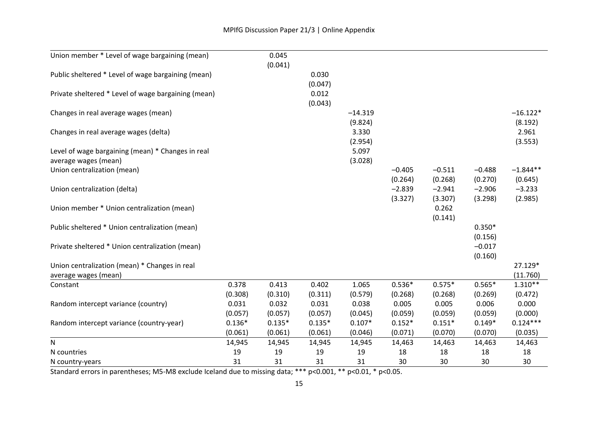| Union member * Level of wage bargaining (mean)                            |          | 0.045<br>(0.041) |                  |                      |                     |                     |                     |                       |
|---------------------------------------------------------------------------|----------|------------------|------------------|----------------------|---------------------|---------------------|---------------------|-----------------------|
| Public sheltered * Level of wage bargaining (mean)                        |          |                  | 0.030<br>(0.047) |                      |                     |                     |                     |                       |
| Private sheltered * Level of wage bargaining (mean)                       |          |                  | 0.012<br>(0.043) |                      |                     |                     |                     |                       |
| Changes in real average wages (mean)                                      |          |                  |                  | $-14.319$<br>(9.824) |                     |                     |                     | $-16.122*$<br>(8.192) |
| Changes in real average wages (delta)                                     |          |                  |                  | 3.330<br>(2.954)     |                     |                     |                     | 2.961<br>(3.553)      |
| Level of wage bargaining (mean) * Changes in real<br>average wages (mean) |          |                  |                  | 5.097<br>(3.028)     |                     |                     |                     |                       |
| Union centralization (mean)                                               |          |                  |                  |                      | $-0.405$<br>(0.264) | $-0.511$<br>(0.268) | $-0.488$<br>(0.270) | $-1.844**$<br>(0.645) |
| Union centralization (delta)                                              |          |                  |                  |                      | $-2.839$<br>(3.327) | $-2.941$<br>(3.307) | $-2.906$<br>(3.298) | $-3.233$<br>(2.985)   |
| Union member * Union centralization (mean)                                |          |                  |                  |                      |                     | 0.262<br>(0.141)    |                     |                       |
| Public sheltered * Union centralization (mean)                            |          |                  |                  |                      |                     |                     | $0.350*$<br>(0.156) |                       |
| Private sheltered * Union centralization (mean)                           |          |                  |                  |                      |                     |                     | $-0.017$<br>(0.160) |                       |
| Union centralization (mean) * Changes in real<br>average wages (mean)     |          |                  |                  |                      |                     |                     |                     | 27.129*<br>(11.760)   |
| Constant                                                                  | 0.378    | 0.413            | 0.402            | 1.065                | $0.536*$            | $0.575*$            | $0.565*$            | $1.310**$             |
|                                                                           | (0.308)  | (0.310)          | (0.311)          | (0.579)              | (0.268)             | (0.268)             | (0.269)             | (0.472)               |
| Random intercept variance (country)                                       | 0.031    | 0.032            | 0.031            | 0.038                | 0.005               | 0.005               | 0.006               | 0.000                 |
|                                                                           | (0.057)  | (0.057)          | (0.057)          | (0.045)              | (0.059)             | (0.059)             | (0.059)             | (0.000)               |
| Random intercept variance (country-year)                                  | $0.136*$ | $0.135*$         | $0.135*$         | $0.107*$             | $0.152*$            | $0.151*$            | $0.149*$            | $0.124***$            |
|                                                                           | (0.061)  | (0.061)          | (0.061)          | (0.046)              | (0.071)             | (0.070)             | (0.070)             | (0.035)               |
| N                                                                         | 14,945   | 14,945           | 14,945           | 14,945               | 14,463              | 14,463              | 14,463              | 14,463                |
| N countries                                                               | 19       | 19               | 19               | 19                   | 18                  | 18                  | 18                  | 18                    |
| N country-years                                                           | 31       | 31               | 31               | 31                   | 30                  | 30                  | 30                  | 30                    |

Standard errors in parentheses; M5-M8 exclude Iceland due to missing data; \*\*\* p<0.001, \*\* p<0.01, \* p<0.05.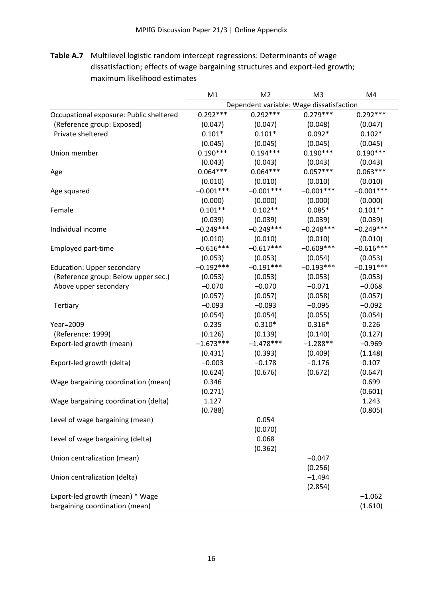**Table A.7** Multilevel logistic random intercept regressions: Determinants of wage dissatisfaction; effects of wage bargaining structures and export-led growth; maximum likelihood estimates

|                                         | M <sub>2</sub><br>M <sub>3</sub><br>M1<br>M4 |                  |             |                  |  |  |
|-----------------------------------------|----------------------------------------------|------------------|-------------|------------------|--|--|
|                                         | Dependent variable: Wage dissatisfaction     |                  |             |                  |  |  |
| Occupational exposure: Public sheltered | $0.292***$                                   | $0.292***$       | $0.279***$  | $0.292***$       |  |  |
| (Reference group: Exposed)              | (0.047)                                      | (0.047)          | (0.048)     | (0.047)          |  |  |
| Private sheltered                       | $0.101*$                                     | $0.101*$         | $0.092*$    | $0.102*$         |  |  |
|                                         | (0.045)                                      | (0.045)          | (0.045)     | (0.045)          |  |  |
| Union member                            | $0.190***$                                   | $0.194***$       | $0.190***$  | $0.190***$       |  |  |
|                                         | (0.043)                                      | (0.043)          | (0.043)     | (0.043)          |  |  |
| Age                                     | $0.064***$                                   | $0.064***$       | $0.057***$  | $0.063***$       |  |  |
|                                         | (0.010)                                      | (0.010)          | (0.010)     | (0.010)          |  |  |
| Age squared                             | $-0.001***$                                  | $-0.001***$      | $-0.001***$ | $-0.001***$      |  |  |
|                                         | (0.000)                                      | (0.000)          | (0.000)     | (0.000)          |  |  |
| Female                                  | $0.101**$                                    | $0.102**$        | $0.085*$    | $0.101**$        |  |  |
|                                         | (0.039)                                      | (0.039)          | (0.039)     | (0.039)          |  |  |
| Individual income                       | $-0.249***$                                  | $-0.249***$      | $-0.248***$ | $-0.249***$      |  |  |
|                                         | (0.010)                                      | (0.010)          | (0.010)     | (0.010)          |  |  |
| Employed part-time                      | $-0.616***$                                  | $-0.617***$      | $-0.609***$ | $-0.616***$      |  |  |
|                                         | (0.053)                                      | (0.053)          | (0.054)     | (0.053)          |  |  |
| <b>Education: Upper secondary</b>       | $-0.192***$                                  | $-0.191***$      | $-0.193***$ | $-0.191***$      |  |  |
| (Reference group: Below upper sec.)     | (0.053)                                      | (0.053)          | (0.053)     | (0.053)          |  |  |
| Above upper secondary                   | $-0.070$                                     | $-0.070$         | $-0.071$    | $-0.068$         |  |  |
|                                         | (0.057)                                      | (0.057)          | (0.058)     | (0.057)          |  |  |
| Tertiary                                | $-0.093$                                     | $-0.093$         | $-0.095$    | $-0.092$         |  |  |
|                                         | (0.054)                                      | (0.054)          | (0.055)     | (0.054)          |  |  |
| Year=2009                               | 0.235                                        | $0.310*$         | $0.316*$    | 0.226            |  |  |
| (Reference: 1999)                       | (0.126)                                      | (0.139)          | (0.140)     | (0.127)          |  |  |
| Export-led growth (mean)                | $-1.673***$                                  | $-1.478***$      | $-1.288**$  | $-0.969$         |  |  |
|                                         | (0.431)                                      | (0.393)          | (0.409)     | (1.148)          |  |  |
| Export-led growth (delta)               | $-0.003$                                     | $-0.178$         | $-0.176$    | 0.107            |  |  |
|                                         | (0.624)                                      | (0.676)          | (0.672)     | (0.647)          |  |  |
| Wage bargaining coordination (mean)     | 0.346                                        |                  |             | 0.699            |  |  |
|                                         | (0.271)<br>1.127                             |                  |             | (0.601)<br>1.243 |  |  |
| Wage bargaining coordination (delta)    | (0.788)                                      |                  |             |                  |  |  |
|                                         |                                              | 0.054            |             | (0.805)          |  |  |
| Level of wage bargaining (mean)         |                                              |                  |             |                  |  |  |
| Level of wage bargaining (delta)        |                                              | (0.070)<br>0.068 |             |                  |  |  |
|                                         |                                              |                  |             |                  |  |  |
| Union centralization (mean)             |                                              | (0.362)          | $-0.047$    |                  |  |  |
|                                         |                                              |                  | (0.256)     |                  |  |  |
| Union centralization (delta)            |                                              |                  | $-1.494$    |                  |  |  |
|                                         |                                              |                  | (2.854)     |                  |  |  |
| Export-led growth (mean) * Wage         |                                              |                  |             | $-1.062$         |  |  |
| bargaining coordination (mean)          |                                              |                  |             | (1.610)          |  |  |
|                                         |                                              |                  |             |                  |  |  |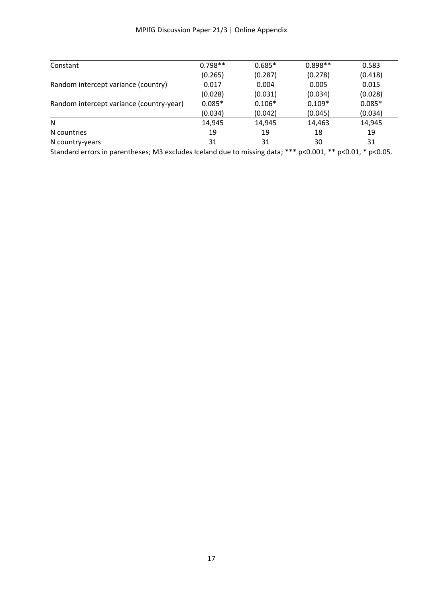| Constant                                 | $0.798**$ | $0.685*$ | $0.898**$ | 0.583    |
|------------------------------------------|-----------|----------|-----------|----------|
|                                          | (0.265)   | (0.287)  | (0.278)   | (0.418)  |
| Random intercept variance (country)      | 0.017     | 0.004    | 0.005     | 0.015    |
|                                          | (0.028)   | (0.031)  | (0.034)   | (0.028)  |
| Random intercept variance (country-year) | $0.085*$  | $0.106*$ | $0.109*$  | $0.085*$ |
|                                          | (0.034)   | (0.042)  | (0.045)   | (0.034)  |
| N                                        | 14,945    | 14,945   | 14,463    | 14,945   |
| N countries                              | 19        | 19       | 18        | 19       |
| N country-years                          | 31        | 31       | 30        | 31       |
|                                          |           |          |           |          |

Standard errors in parentheses; M3 excludes Iceland due to missing data; \*\*\* p<0.001, \*\* p<0.01, \* p<0.05.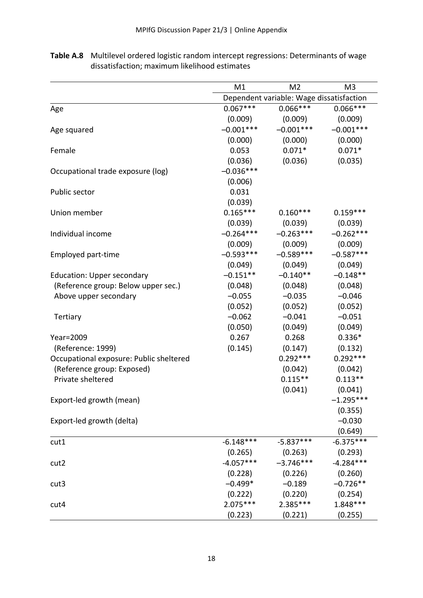|                                         | M1<br>M <sub>2</sub><br>M <sub>3</sub>   |             |             |  |  |
|-----------------------------------------|------------------------------------------|-------------|-------------|--|--|
|                                         | Dependent variable: Wage dissatisfaction |             |             |  |  |
| Age                                     | $0.067***$                               | $0.066***$  | $0.066***$  |  |  |
|                                         | (0.009)                                  | (0.009)     | (0.009)     |  |  |
| Age squared                             | $-0.001***$                              | $-0.001***$ | $-0.001***$ |  |  |
|                                         | (0.000)                                  | (0.000)     | (0.000)     |  |  |
| Female                                  | 0.053                                    | $0.071*$    | $0.071*$    |  |  |
|                                         | (0.036)                                  | (0.036)     | (0.035)     |  |  |
| Occupational trade exposure (log)       | $-0.036***$                              |             |             |  |  |
|                                         | (0.006)                                  |             |             |  |  |
| Public sector                           | 0.031                                    |             |             |  |  |
|                                         | (0.039)                                  |             |             |  |  |
| Union member                            | $0.165***$                               | $0.160***$  | $0.159***$  |  |  |
|                                         | (0.039)                                  | (0.039)     | (0.039)     |  |  |
| Individual income                       | $-0.264***$                              | $-0.263***$ | $-0.262***$ |  |  |
|                                         | (0.009)                                  | (0.009)     | (0.009)     |  |  |
| Employed part-time                      | $-0.593***$                              | $-0.589***$ | $-0.587***$ |  |  |
|                                         | (0.049)                                  | (0.049)     | (0.049)     |  |  |
| <b>Education: Upper secondary</b>       | $-0.151**$                               | $-0.140**$  | $-0.148**$  |  |  |
| (Reference group: Below upper sec.)     | (0.048)                                  | (0.048)     | (0.048)     |  |  |
| Above upper secondary                   | $-0.055$                                 | $-0.035$    | $-0.046$    |  |  |
|                                         | (0.052)                                  | (0.052)     | (0.052)     |  |  |
| Tertiary                                | $-0.062$                                 | $-0.041$    | $-0.051$    |  |  |
|                                         | (0.050)                                  | (0.049)     | (0.049)     |  |  |
| Year=2009                               | 0.267                                    | 0.268       | $0.336*$    |  |  |
| (Reference: 1999)                       | (0.145)                                  | (0.147)     | (0.132)     |  |  |
| Occupational exposure: Public sheltered |                                          | $0.292***$  | $0.292***$  |  |  |
| (Reference group: Exposed)              |                                          | (0.042)     | (0.042)     |  |  |
| Private sheltered                       |                                          | $0.115***$  | $0.113**$   |  |  |
|                                         |                                          | (0.041)     | (0.041)     |  |  |
| Export-led growth (mean)                |                                          |             | $-1.295***$ |  |  |
|                                         |                                          |             | (0.355)     |  |  |
| Export-led growth (delta)               |                                          |             | $-0.030$    |  |  |
|                                         |                                          |             | (0.649)     |  |  |
| cut1                                    | $-6.148***$                              | $-5.837***$ | $-6.375***$ |  |  |
|                                         | (0.265)                                  | (0.263)     | (0.293)     |  |  |
| cut2                                    | $-4.057***$                              | $-3.746***$ | $-4.284***$ |  |  |
|                                         | (0.228)                                  | (0.226)     | (0.260)     |  |  |
| cut <sub>3</sub>                        | $-0.499*$                                | $-0.189$    | $-0.726**$  |  |  |
|                                         | (0.222)                                  | (0.220)     | (0.254)     |  |  |
| cut4                                    | $2.075***$                               | 2.385***    | $1.848***$  |  |  |
|                                         | (0.223)                                  | (0.221)     | (0.255)     |  |  |

**Table A.8** Multilevel ordered logistic random intercept regressions: Determinants of wage dissatisfaction; maximum likelihood estimates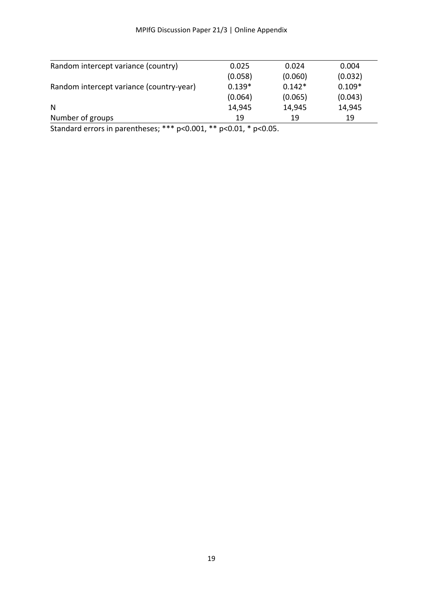|          |          | 0.004    |
|----------|----------|----------|
| (0.058)  | (0.060)  | (0.032)  |
| $0.139*$ | $0.142*$ | $0.109*$ |
| (0.064)  | (0.065)  | (0.043)  |
| 14,945   | 14,945   | 14,945   |
| 19       | 19       | 19       |
|          | 0.025    | 0.024    |

Standard errors in parentheses; \*\*\* p<0.001, \*\* p<0.01, \* p<0.05.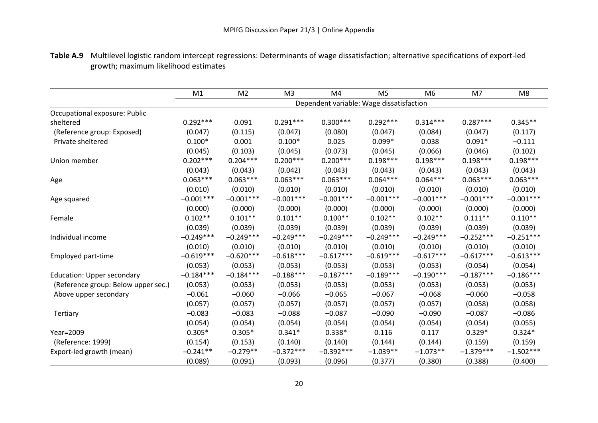|                                     | M1                                       | M <sub>2</sub> | M <sub>3</sub> | M4          | M <sub>5</sub> | M <sub>6</sub> | M <sub>7</sub> | M <sub>8</sub> |
|-------------------------------------|------------------------------------------|----------------|----------------|-------------|----------------|----------------|----------------|----------------|
|                                     | Dependent variable: Wage dissatisfaction |                |                |             |                |                |                |                |
| Occupational exposure: Public       |                                          |                |                |             |                |                |                |                |
| sheltered                           | $0.292***$                               | 0.091          | $0.291***$     | $0.300***$  | $0.292***$     | $0.314***$     | $0.287***$     | $0.345**$      |
| (Reference group: Exposed)          | (0.047)                                  | (0.115)        | (0.047)        | (0.080)     | (0.047)        | (0.084)        | (0.047)        | (0.117)        |
| Private sheltered                   | $0.100*$                                 | 0.001          | $0.100*$       | 0.025       | $0.099*$       | 0.038          | $0.091*$       | $-0.111$       |
|                                     | (0.045)                                  | (0.103)        | (0.045)        | (0.073)     | (0.045)        | (0.066)        | (0.046)        | (0.102)        |
| Union member                        | $0.202***$                               | $0.204***$     | $0.200***$     | $0.200***$  | $0.198***$     | $0.198***$     | $0.198***$     | $0.198***$     |
|                                     | (0.043)                                  | (0.043)        | (0.042)        | (0.043)     | (0.043)        | (0.043)        | (0.043)        | (0.043)        |
| Age                                 | $0.063***$                               | $0.063***$     | $0.063***$     | $0.063***$  | $0.064***$     | $0.064***$     | $0.063***$     | $0.063***$     |
|                                     | (0.010)                                  | (0.010)        | (0.010)        | (0.010)     | (0.010)        | (0.010)        | (0.010)        | (0.010)        |
| Age squared                         | $-0.001***$                              | $-0.001***$    | $-0.001***$    | $-0.001***$ | $-0.001***$    | $-0.001***$    | $-0.001***$    | $-0.001***$    |
|                                     | (0.000)                                  | (0.000)        | (0.000)        | (0.000)     | (0.000)        | (0.000)        | (0.000)        | (0.000)        |
| Female                              | $0.102**$                                | $0.101**$      | $0.101**$      | $0.100**$   | $0.102**$      | $0.102**$      | $0.111**$      | $0.110**$      |
|                                     | (0.039)                                  | (0.039)        | (0.039)        | (0.039)     | (0.039)        | (0.039)        | (0.039)        | (0.039)        |
| Individual income                   | $-0.249***$                              | $-0.249***$    | $-0.249***$    | $-0.249***$ | $-0.249***$    | $-0.249***$    | $-0.252***$    | $-0.251***$    |
|                                     | (0.010)                                  | (0.010)        | (0.010)        | (0.010)     | (0.010)        | (0.010)        | (0.010)        | (0.010)        |
| Employed part-time                  | $-0.619***$                              | $-0.620***$    | $-0.618***$    | $-0.617***$ | $-0.619***$    | $-0.617***$    | $-0.617***$    | $-0.613***$    |
|                                     | (0.053)                                  | (0.053)        | (0.053)        | (0.053)     | (0.053)        | (0.053)        | (0.054)        | (0.054)        |
| Education: Upper secondary          | $-0.184***$                              | $-0.184***$    | $-0.188***$    | $-0.187***$ | $-0.189***$    | $-0.190***$    | $-0.187***$    | $-0.186***$    |
| (Reference group: Below upper sec.) | (0.053)                                  | (0.053)        | (0.053)        | (0.053)     | (0.053)        | (0.053)        | (0.053)        | (0.053)        |
| Above upper secondary               | $-0.061$                                 | $-0.060$       | $-0.066$       | $-0.065$    | $-0.067$       | $-0.068$       | $-0.060$       | $-0.058$       |
|                                     | (0.057)                                  | (0.057)        | (0.057)        | (0.057)     | (0.057)        | (0.057)        | (0.058)        | (0.058)        |
| Tertiary                            | $-0.083$                                 | $-0.083$       | $-0.088$       | $-0.087$    | $-0.090$       | $-0.090$       | $-0.087$       | $-0.086$       |
|                                     | (0.054)                                  | (0.054)        | (0.054)        | (0.054)     | (0.054)        | (0.054)        | (0.054)        | (0.055)        |
| Year=2009                           | $0.305*$                                 | $0.305*$       | $0.341*$       | $0.338*$    | 0.116          | 0.117          | $0.329*$       | $0.324*$       |
| (Reference: 1999)                   | (0.154)                                  | (0.153)        | (0.140)        | (0.140)     | (0.144)        | (0.144)        | (0.159)        | (0.159)        |
| Export-led growth (mean)            | $-0.241**$                               | $-0.279**$     | $-0.372***$    | $-0.392***$ | $-1.039**$     | $-1.073**$     | $-1.379***$    | $-1.502***$    |
|                                     | (0.089)                                  | (0.091)        | (0.093)        | (0.096)     | (0.377)        | (0.380)        | (0.388)        | (0.400)        |

**Table A.9** Multilevel logistic random intercept regressions: Determinants of wage dissatisfaction; alternative specifications of export-led growth; maximum likelihood estimates